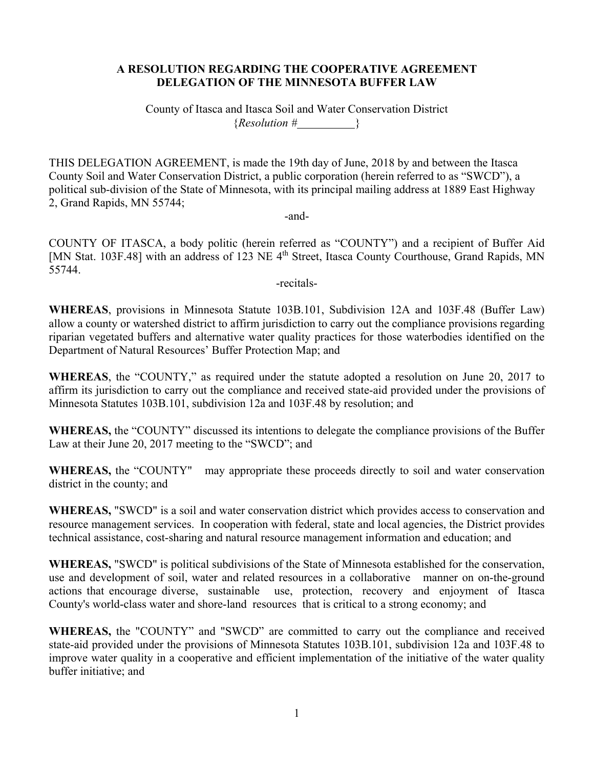### **A RESOLUTION REGARDING THE COOPERATIVE AGREEMENT DELEGATION OF THE MINNESOTA BUFFER LAW**

County of Itasca and Itasca Soil and Water Conservation District  ${Resolution} \#$  }

THIS DELEGATION AGREEMENT, is made the 19th day of June, 2018 by and between the Itasca County Soil and Water Conservation District, a public corporation (herein referred to as "SWCD"), a political sub-division of the State of Minnesota, with its principal mailing address at 1889 East Highway 2, Grand Rapids, MN 55744;

-and-

COUNTY OF ITASCA, a body politic (herein referred as "COUNTY") and a recipient of Buffer Aid [MN Stat. 103F.48] with an address of 123 NE 4<sup>th</sup> Street, Itasca County Courthouse, Grand Rapids, MN 55744.

-recitals-

**WHEREAS**, provisions in Minnesota Statute 103B.101, Subdivision 12A and 103F.48 (Buffer Law) allow a county or watershed district to affirm jurisdiction to carry out the compliance provisions regarding riparian vegetated buffers and alternative water quality practices for those waterbodies identified on the Department of Natural Resources' Buffer Protection Map; and

**WHEREAS**, the "COUNTY," as required under the statute adopted a resolution on June 20, 2017 to affirm its jurisdiction to carry out the compliance and received state-aid provided under the provisions of Minnesota Statutes 103B.101, subdivision 12a and 103F.48 by resolution; and

**WHEREAS,** the "COUNTY" discussed its intentions to delegate the compliance provisions of the Buffer Law at their June 20, 2017 meeting to the "SWCD"; and

**WHEREAS,** the "COUNTY" may appropriate these proceeds directly to soil and water conservation district in the county; and

**WHEREAS,** "SWCD" is a soil and water conservation district which provides access to conservation and resource management services. In cooperation with federal, state and local agencies, the District provides technical assistance, cost-sharing and natural resource management information and education; and

**WHEREAS,** "SWCD" is political subdivisions of the State of Minnesota established for the conservation, use and development of soil, water and related resources in a collaborative manner on on-the-ground actions that encourage diverse, sustainable use, protection, recovery and enjoyment of Itasca County's world-class water and shore-land resources that is critical to a strong economy; and

**WHEREAS,** the "COUNTY" and "SWCD" are committed to carry out the compliance and received state-aid provided under the provisions of Minnesota Statutes 103B.101, subdivision 12a and 103F.48 to improve water quality in a cooperative and efficient implementation of the initiative of the water quality buffer initiative; and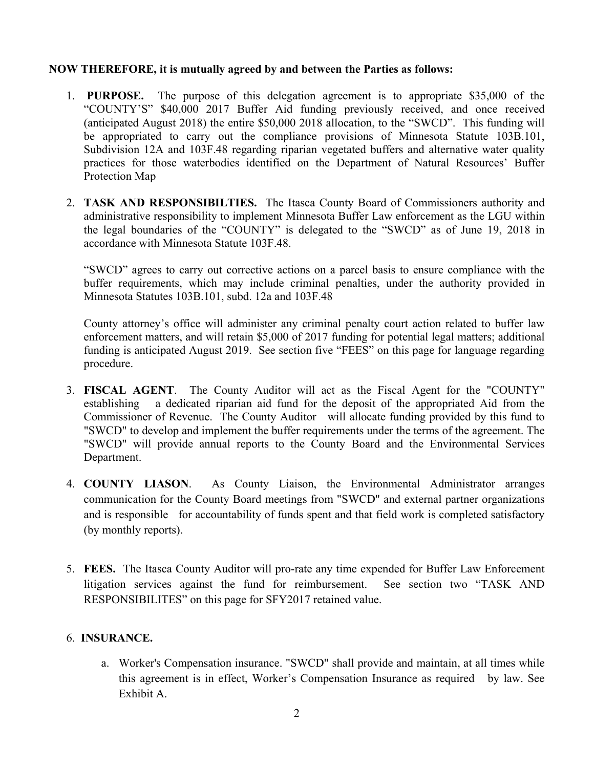### **NOW THEREFORE, it is mutually agreed by and between the Parties as follows:**

- 1. **PURPOSE.** The purpose of this delegation agreement is to appropriate \$35,000 of the "COUNTY'S" \$40,000 2017 Buffer Aid funding previously received, and once received (anticipated August 2018) the entire \$50,000 2018 allocation, to the "SWCD". This funding will be appropriated to carry out the compliance provisions of Minnesota Statute 103B.101, Subdivision 12A and 103F.48 regarding riparian vegetated buffers and alternative water quality practices for those waterbodies identified on the Department of Natural Resources' Buffer Protection Map
- 2. **TASK AND RESPONSIBILTIES.** The Itasca County Board of Commissioners authority and administrative responsibility to implement Minnesota Buffer Law enforcement as the LGU within the legal boundaries of the "COUNTY" is delegated to the "SWCD" as of June 19, 2018 in accordance with Minnesota Statute 103F.48.

"SWCD" agrees to carry out corrective actions on a parcel basis to ensure compliance with the buffer requirements, which may include criminal penalties, under the authority provided in Minnesota Statutes 103B.101, subd. 12a and 103F.48

County attorney's office will administer any criminal penalty court action related to buffer law enforcement matters, and will retain \$5,000 of 2017 funding for potential legal matters; additional funding is anticipated August 2019. See section five "FEES" on this page for language regarding procedure.

- 3. **FISCAL AGENT**. The County Auditor will act as the Fiscal Agent for the "COUNTY" establishing a dedicated riparian aid fund for the deposit of the appropriated Aid from the Commissioner of Revenue. The County Auditor will allocate funding provided by this fund to "SWCD" to develop and implement the buffer requirements under the terms of the agreement. The "SWCD" will provide annual reports to the County Board and the Environmental Services Department.
- 4. **COUNTY LIASON**. As County Liaison, the Environmental Administrator arranges communication for the County Board meetings from "SWCD" and external partner organizations and is responsible for accountability of funds spent and that field work is completed satisfactory (by monthly reports).
- 5. **FEES.** The Itasca County Auditor will pro-rate any time expended for Buffer Law Enforcement litigation services against the fund for reimbursement. See section two "TASK AND RESPONSIBILITES" on this page for SFY2017 retained value.

# 6. **INSURANCE.**

a. Worker's Compensation insurance. "SWCD" shall provide and maintain, at all times while this agreement is in effect, Worker's Compensation Insurance as required by law. See Exhibit A.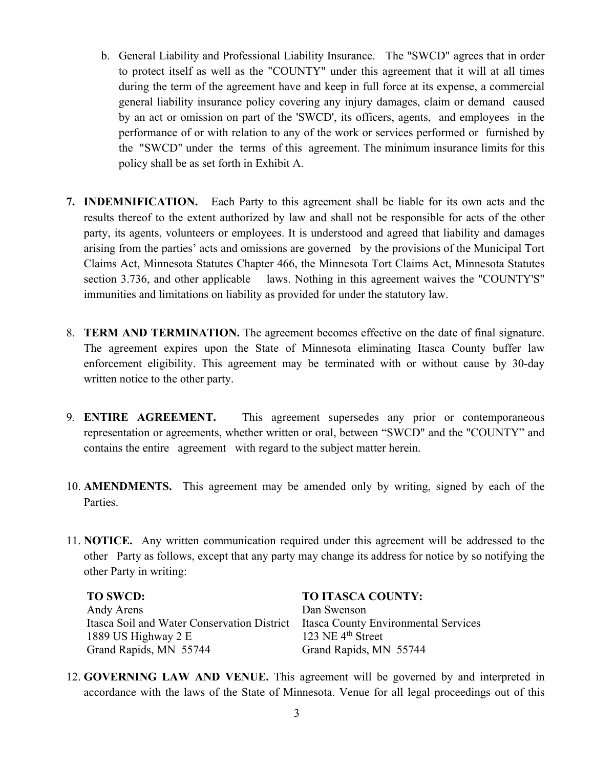- b. General Liability and Professional Liability Insurance. The "SWCD" agrees that in order to protect itself as well as the "COUNTY" under this agreement that it will at all times during the term of the agreement have and keep in full force at its expense, a commercial general liability insurance policy covering any injury damages, claim or demand caused by an act or omission on part of the 'SWCD', its officers, agents, and employees in the performance of or with relation to any of the work or services performed or furnished by the "SWCD" under the terms of this agreement. The minimum insurance limits for this policy shall be as set forth in Exhibit A.
- **7. INDEMNIFICATION.** Each Party to this agreement shall be liable for its own acts and the results thereof to the extent authorized by law and shall not be responsible for acts of the other party, its agents, volunteers or employees. It is understood and agreed that liability and damages arising from the parties' acts and omissions are governed by the provisions of the Municipal Tort Claims Act, Minnesota Statutes Chapter 466, the Minnesota Tort Claims Act, Minnesota Statutes section 3.736, and other applicable laws. Nothing in this agreement waives the "COUNTY'S" immunities and limitations on liability as provided for under the statutory law.
- 8. **TERM AND TERMINATION.** The agreement becomes effective on the date of final signature. The agreement expires upon the State of Minnesota eliminating Itasca County buffer law enforcement eligibility. This agreement may be terminated with or without cause by 30-day written notice to the other party.
- 9. **ENTIRE AGREEMENT.** This agreement supersedes any prior or contemporaneous representation or agreements, whether written or oral, between "SWCD" and the "COUNTY" and contains the entire agreement with regard to the subject matter herein.
- 10. **AMENDMENTS.** This agreement may be amended only by writing, signed by each of the Parties.
- 11. **NOTICE.** Any written communication required under this agreement will be addressed to the other Party as follows, except that any party may change its address for notice by so notifying the other Party in writing:

# Andy Arens Dan Swenson

Itasca Soil and Water Conservation District Itasca County Environmental Services<br>1889 US Highway 2 E 123 NE 4<sup>th</sup> Street 1889 US Highway 2 E Grand Rapids, MN 55744 Grand Rapids, MN 55744

#### **TO SWCD: TO ITASCA COUNTY:**

12. **GOVERNING LAW AND VENUE.** This agreement will be governed by and interpreted in accordance with the laws of the State of Minnesota. Venue for all legal proceedings out of this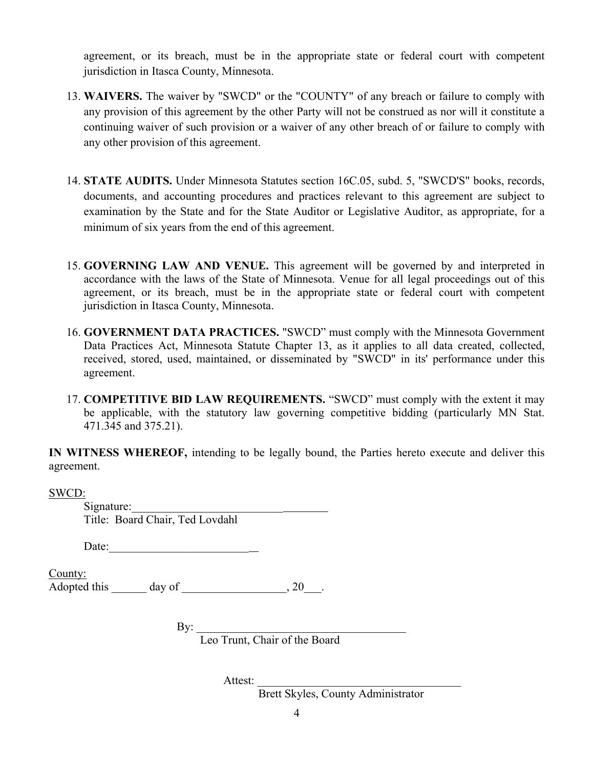agreement, or its breach, must be in the appropriate state or federal court with competent jurisdiction in Itasca County, Minnesota.

- 13. **WAIVERS.** The waiver by "SWCD" or the "COUNTY" of any breach or failure to comply with any provision of this agreement by the other Party will not be construed as nor will it constitute a continuing waiver of such provision or a waiver of any other breach of or failure to comply with any other provision of this agreement.
- 14. **STATE AUDITS.** Under Minnesota Statutes section 16C.05, subd. 5, "SWCD'S" books, records, documents, and accounting procedures and practices relevant to this agreement are subject to examination by the State and for the State Auditor or Legislative Auditor, as appropriate, for a minimum of six years from the end of this agreement.
- 15. **GOVERNING LAW AND VENUE.** This agreement will be governed by and interpreted in accordance with the laws of the State of Minnesota. Venue for all legal proceedings out of this agreement, or its breach, must be in the appropriate state or federal court with competent jurisdiction in Itasca County, Minnesota.
- 16. **GOVERNMENT DATA PRACTICES.** "SWCD" must comply with the Minnesota Government Data Practices Act, Minnesota Statute Chapter 13, as it applies to all data created, collected, received, stored, used, maintained, or disseminated by "SWCD" in its' performance under this agreement.
- 17. **COMPETITIVE BID LAW REQUIREMENTS.** "SWCD" must comply with the extent it may be applicable, with the statutory law governing competitive bidding (particularly MN Stat. 471.345 and 375.21).

**IN WITNESS WHEREOF,** intending to be legally bound, the Parties hereto execute and deliver this agreement.

SWCD:

Signature: Title: Board Chair, Ted Lovdahl

Date:

County: Adopted this  $\qquad \qquad \text{day of} \qquad \qquad .20$ 

 $\mathrm{By:}\_\_\_\_\_\_\_\_\_\_$ Leo Trunt, Chair of the Board

Attest:

Brett Skyles, County Administrator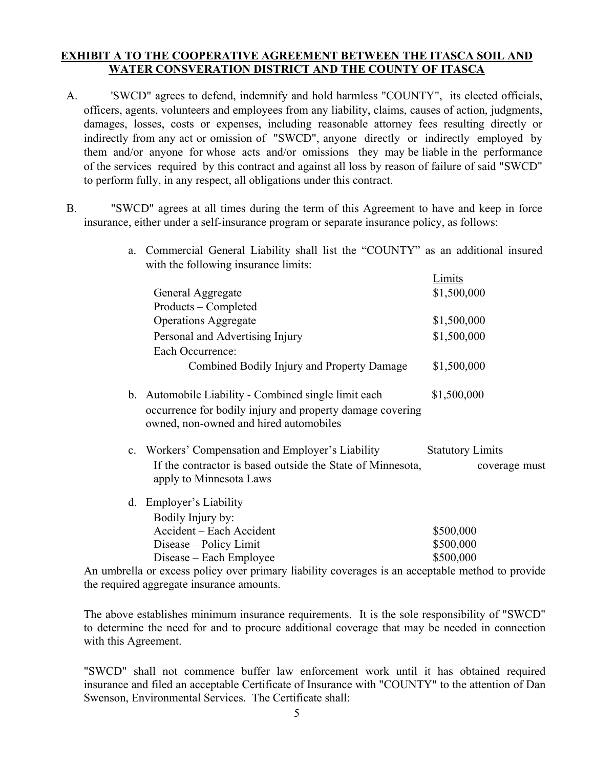## **EXHIBIT A TO THE COOPERATIVE AGREEMENT BETWEEN THE ITASCA SOIL AND WATER CONSVERATION DISTRICT AND THE COUNTY OF ITASCA**

- A. 'SWCD" agrees to defend, indemnify and hold harmless "COUNTY", its elected officials, officers, agents, volunteers and employees from any liability, claims, causes of action, judgments, damages, losses, costs or expenses, including reasonable attorney fees resulting directly or indirectly from any act or omission of "SWCD", anyone directly or indirectly employed by them and/or anyone for whose acts and/or omissions they may be liable in the performance of the services required by this contract and against all loss by reason of failure of said "SWCD" to perform fully, in any respect, all obligations under this contract.
- B. "SWCD" agrees at all times during the term of this Agreement to have and keep in force insurance, either under a self-insurance program or separate insurance policy, as follows:
	- a. Commercial General Liability shall list the "COUNTY" as an additional insured with the following insurance limits:

|    |                                                                                                                                                          | Limits                                   |
|----|----------------------------------------------------------------------------------------------------------------------------------------------------------|------------------------------------------|
|    | General Aggregate                                                                                                                                        | \$1,500,000                              |
|    | Products – Completed                                                                                                                                     |                                          |
|    | <b>Operations Aggregate</b>                                                                                                                              | \$1,500,000                              |
|    | Personal and Advertising Injury                                                                                                                          | \$1,500,000                              |
|    | Each Occurrence:                                                                                                                                         |                                          |
|    | Combined Bodily Injury and Property Damage                                                                                                               | \$1,500,000                              |
| b. | Automobile Liability - Combined single limit each<br>occurrence for bodily injury and property damage covering<br>owned, non-owned and hired automobiles | \$1,500,000                              |
|    | c. Workers' Compensation and Employer's Liability<br>If the contractor is based outside the State of Minnesota,<br>apply to Minnesota Laws               | <b>Statutory Limits</b><br>coverage must |
| d. | <b>Employer's Liability</b><br>Bodily Injury by:                                                                                                         |                                          |
|    | Accident - Each Accident                                                                                                                                 | \$500,000                                |
|    | Disease – Policy Limit                                                                                                                                   | \$500,000                                |
|    | Disease – Each Employee                                                                                                                                  | \$500,000                                |
|    |                                                                                                                                                          |                                          |

An umbrella or excess policy over primary liability coverages is an acceptable method to provide the required aggregate insurance amounts.

The above establishes minimum insurance requirements. It is the sole responsibility of "SWCD" to determine the need for and to procure additional coverage that may be needed in connection with this Agreement.

"SWCD" shall not commence buffer law enforcement work until it has obtained required insurance and filed an acceptable Certificate of Insurance with "COUNTY" to the attention of Dan Swenson, Environmental Services. The Certificate shall: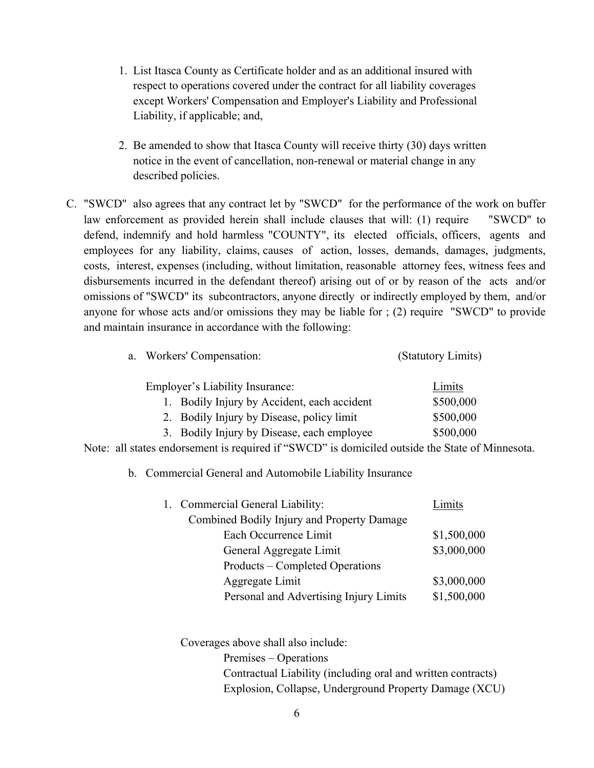- 1. List Itasca County as Certificate holder and as an additional insured with respect to operations covered under the contract for all liability coverages except Workers' Compensation and Employer's Liability and Professional Liability, if applicable; and,
- 2. Be amended to show that Itasca County will receive thirty (30) days written notice in the event of cancellation, non-renewal or material change in any described policies.
- C. "SWCD" also agrees that any contract let by "SWCD" for the performance of the work on buffer law enforcement as provided herein shall include clauses that will: (1) require "SWCD" to defend, indemnify and hold harmless "COUNTY", its elected officials, officers, agents and employees for any liability, claims, causes of action, losses, demands, damages, judgments, costs, interest, expenses (including, without limitation, reasonable attorney fees, witness fees and disbursements incurred in the defendant thereof) arising out of or by reason of the acts and/or omissions of "SWCD" its subcontractors, anyone directly or indirectly employed by them, and/or anyone for whose acts and/or omissions they may be liable for ; (2) require "SWCD" to provide and maintain insurance in accordance with the following:

| a. Workers' Compensation:                   | (Statutory Limits) |  |
|---------------------------------------------|--------------------|--|
| <b>Employer's Liability Insurance:</b>      | Limits             |  |
| 1. Bodily Injury by Accident, each accident | \$500,000          |  |
| 2. Bodily Injury by Disease, policy limit   | \$500,000          |  |
| 3. Bodily Injury by Disease, each employee  | \$500,000          |  |

Note: all states endorsement is required if "SWCD" is domiciled outside the State of Minnesota.

b. Commercial General and Automobile Liability Insurance

|  | 1. Commercial General Liability:           | Limits      |
|--|--------------------------------------------|-------------|
|  | Combined Bodily Injury and Property Damage |             |
|  | Each Occurrence Limit                      | \$1,500,000 |
|  | General Aggregate Limit                    | \$3,000,000 |
|  | Products – Completed Operations            |             |
|  | Aggregate Limit                            | \$3,000,000 |
|  | Personal and Advertising Injury Limits     | \$1,500,000 |

Coverages above shall also include: Premises – Operations Contractual Liability (including oral and written contracts) Explosion, Collapse, Underground Property Damage (XCU)